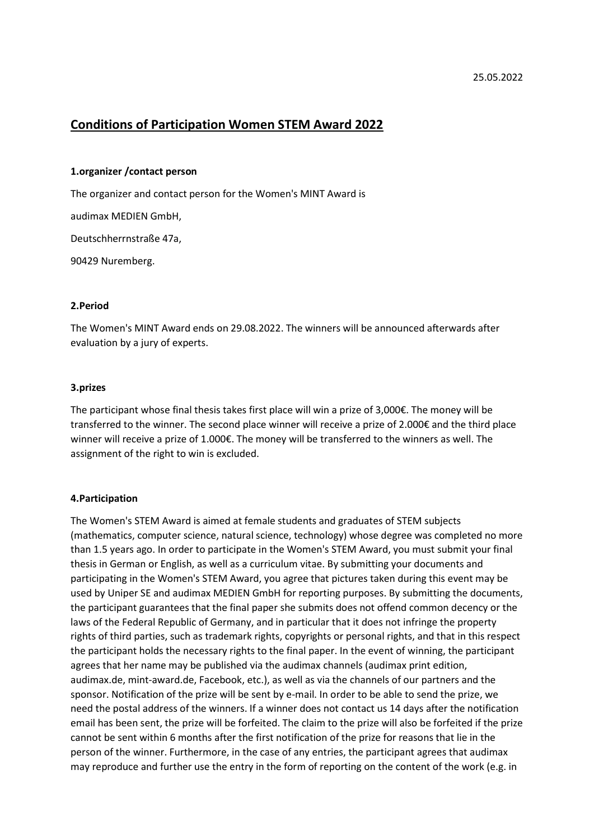# Conditions of Participation Women STEM Award 2022

#### 1.organizer /contact person

The organizer and contact person for the Women's MINT Award is

audimax MEDIEN GmbH,

Deutschherrnstraße 47a,

90429 Nuremberg.

### 2.Period

The Women's MINT Award ends on 29.08.2022. The winners will be announced afterwards after evaluation by a jury of experts.

### 3.prizes

The participant whose final thesis takes first place will win a prize of 3,000€. The money will be transferred to the winner. The second place winner will receive a prize of 2.000€ and the third place winner will receive a prize of 1.000€. The money will be transferred to the winners as well. The assignment of the right to win is excluded.

## 4.Participation

The Women's STEM Award is aimed at female students and graduates of STEM subjects (mathematics, computer science, natural science, technology) whose degree was completed no more than 1.5 years ago. In order to participate in the Women's STEM Award, you must submit your final thesis in German or English, as well as a curriculum vitae. By submitting your documents and participating in the Women's STEM Award, you agree that pictures taken during this event may be used by Uniper SE and audimax MEDIEN GmbH for reporting purposes. By submitting the documents, the participant guarantees that the final paper she submits does not offend common decency or the laws of the Federal Republic of Germany, and in particular that it does not infringe the property rights of third parties, such as trademark rights, copyrights or personal rights, and that in this respect the participant holds the necessary rights to the final paper. In the event of winning, the participant agrees that her name may be published via the audimax channels (audimax print edition, audimax.de, mint-award.de, Facebook, etc.), as well as via the channels of our partners and the sponsor. Notification of the prize will be sent by e-mail. In order to be able to send the prize, we need the postal address of the winners. If a winner does not contact us 14 days after the notification email has been sent, the prize will be forfeited. The claim to the prize will also be forfeited if the prize cannot be sent within 6 months after the first notification of the prize for reasons that lie in the person of the winner. Furthermore, in the case of any entries, the participant agrees that audimax may reproduce and further use the entry in the form of reporting on the content of the work (e.g. in